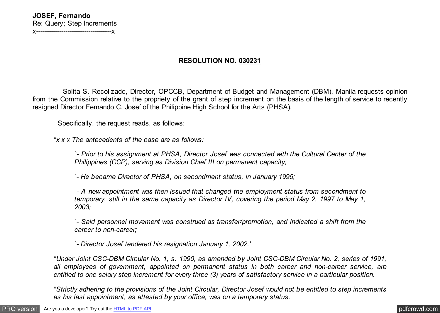## **RESOLUTION NO. 030231**

 Solita S. Recolizado, Director, OPCCB, Department of Budget and Management (DBM), Manila requests opinion from the Commission relative to the propriety of the grant of step increment on the basis of the length of service to recently resigned Director Fernando C. Josef of the Philippine High School for the Arts (PHSA).

Specifically, the request reads, as follows:

*"x x x The antecedents of the case are as follows:*

*`- Prior to his assignment at PHSA, Director Josef was connected with the Cultural Center of the Philippines (CCP), serving as Division Chief III on permanent capacity;*

*`- He became Director of PHSA, on secondment status, in January 1995;*

*`- A new appointment was then issued that changed the employment status from secondment to temporary, still in the same capacity as Director IV, covering the period May 2, 1997 to May 1, 2003;*

*`- Said personnel movement was construed as transfer/promotion, and indicated a shift from the career to non-career;*

*`- Director Josef tendered his resignation January 1, 2002.'*

*"Under Joint CSC-DBM Circular No. 1, s. 1990, as amended by Joint CSC-DBM Circular No. 2, series of 1991, all employees of government, appointed on permanent status in both career and non-career service, are entitled to one salary step increment for every three (3) years of satisfactory service in a particular position.*

*"Strictly adhering to the provisions of the Joint Circular, Director Josef would not be entitled to step increments as his last appointment, as attested by your office, was on a temporary status.*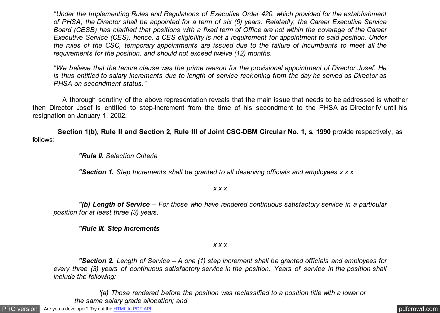*"Under the Implementing Rules and Regulations of Executive Order 420, which provided for the establishment of PHSA, the Director shall be appointed for a term of six (6) years. Relatedly, the Career Executive Service Board (CESB) has clarified that positions with a fixed term of Office are not within the coverage of the Career Executive Service (CES), hence, a CES eligibility is not a requirement for appointment to said position. Under the rules of the CSC, temporary appointments are issued due to the failure of incumbents to meet all the requirements for the position, and should not exceed twelve (12) months.*

*"We believe that the tenure clause was the prime reason for the provisional appointment of Director Josef. He is thus entitled to salary increments due to length of service reckoning from the day he served as Director as PHSA on secondment status."*

 A thorough scrutiny of the above representation reveals that the main issue that needs to be addressed is whether then Director Josef is entitled to step-increment from the time of his secondment to the PHSA as Director IV until his resignation on January 1, 2002.

 **Section 1(b), Rule II and Section 2, Rule III of Joint CSC-DBM Circular No. 1, s. 1990** provide respectively, as follows:

 *"Rule II. Selection Criteria*

 *"Section 1. Step Increments shall be granted to all deserving officials and employees x x x*

*x x x*

 *"(b) Length of Service – For those who have rendered continuous satisfactory service in a particular position for at least three (3) years.*

 *"Rule III. Step Increments*

*x x x*

 *"Section 2. Length of Service – A one (1) step increment shall be granted officials and employees for every three (3) years of continuous satisfactory service in the position. Years of service in the position shall include the following:*

 *'(a) Those rendered before the position was reclassified to a position title with a lower or the same salary grade allocation; and*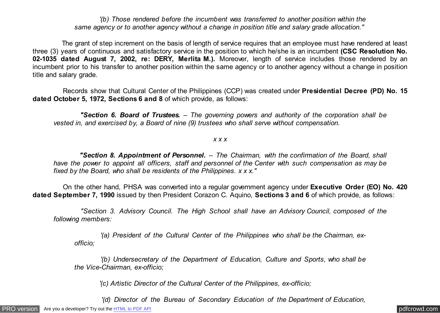*'(b) Those rendered before the incumbent was transferred to another position within the same agency or to another agency without a change in position title and salary grade allocation."*

 The grant of step increment on the basis of length of service requires that an employee must have rendered at least three (3) years of continuous and satisfactory service in the position to which he/she is an incumbent **(CSC Resolution No. 02-1035 dated August 7, 2002, re: DERY, Merlita M.).** Moreover, length of service includes those rendered by an incumbent prior to his transfer to another position within the same agency or to another agency without a change in position title and salary grade.

 Records show that Cultural Center of the Philippines (CCP) was created under **Presidential Decree (PD) No. 15 dated October 5, 1972, Sections 6 and 8** of which provide, as follows:

 *"Section 6. Board of Trustees. – The governing powers and authority of the corporation shall be vested in, and exercised by, a Board of nine (9) trustees who shall serve without compensation.*

## *x x x*

 *"Section 8. Appointment of Personnel. – The Chairman, with the confirmation of the Board, shall have the power to appoint all officers, staff and personnel of the Center with such compensation as may be fixed by the Board, who shall be residents of the Philippines. x x x."*

 On the other hand, PHSA was converted into a regular government agency under **Executive Order (EO) No. 420 dated September 7, 1990** issued by then President Corazon C. Aquino, **Sections 3 and 6** of which provide, as follows:

 *"Section 3. Advisory Council. The High School shall have an Advisory Council, composed of the following members:*

 *'(a) President of the Cultural Center of the Philippines who shall be the Chairman, exofficio;*

 *'(b) Undersecretary of the Department of Education, Culture and Sports, who shall be the Vice-Chairman, ex-officio;*

 *'(c) Artistic Director of the Cultural Center of the Philippines, ex-officio;*

 *'(d) Director of the Bureau of Secondary Education of the Department of Education,*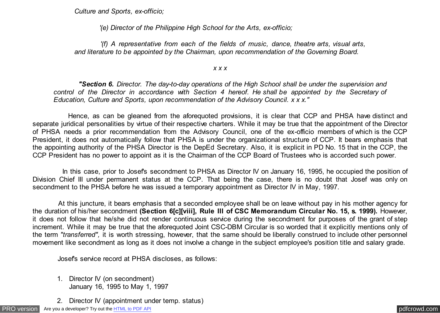*Culture and Sports, ex-officio;*

 *'(e) Director of the Philippine High School for the Arts, ex-officio;*

 *'(f) A representative from each of the fields of music, dance, theatre arts, visual arts, and literature to be appointed by the Chairman, upon recommendation of the Governing Board.*

*x x x*

 *"Section 6. Director. The day-to-day operations of the High School shall be under the supervision and control of the Director in accordance with Section 4 hereof. He shall be appointed by the Secretary of Education, Culture and Sports, upon recommendation of the Advisory Council. x x x."*

 Hence, as can be gleaned from the aforequoted provisions, it is clear that CCP and PHSA have distinct and separate juridical personalities by virtue of their respective charters. While it may be true that the appointment of the Director of PHSA needs a prior recommendation from the Advisory Council, one of the ex-officio members of which is the CCP President, it does not automatically follow that PHSA is under the organizational structure of CCP. It bears emphasis that the appointing authority of the PHSA Director is the DepEd Secretary. Also, it is explicit in PD No. 15 that in the CCP, the CCP President has no power to appoint as it is the Chairman of the CCP Board of Trustees who is accorded such power.

In this case, prior to Josef's secondment to PHSA as Director IV on January 16, 1995, he occupied the position of Division Chief III under permanent status at the CCP. That being the case, there is no doubt that Josef was only on secondment to the PHSA before he was issued a temporary appointment as Director IV in May, 1997.

 At this juncture, it bears emphasis that a seconded employee shall be on leave without pay in his mother agency for the duration of his/her secondment **(Section 6[c][viii], Rule III of CSC Memorandum Circular No. 15, s. 1999).** However, it does not follow that he/she did not render continuous service during the secondment for purposes of the grant of step increment. While it may be true that the aforequoted Joint CSC-DBM Circular is so worded that it explicitly mentions only of the term *"transferred",* it is worth stressing, however, that the same should be liberally construed to include other personnel movement like secondment as long as it does not involve a change in the subject employee's position title and salary grade.

Josef's service record at PHSA discloses, as follows:

- 1. Director IV (on secondment) January 16, 1995 to May 1, 1997
- 2. Director IV (appointment under temp. status)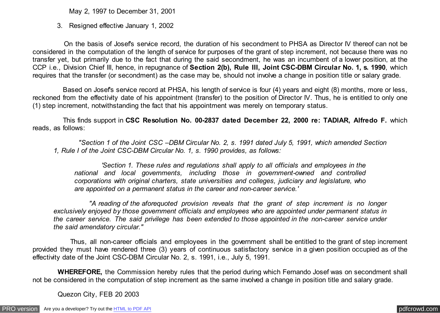May 2, 1997 to December 31, 2001

3. Resigned effective January 1, 2002

 On the basis of Josef's service record, the duration of his secondment to PHSA as Director IV thereof can not be considered in the computation of the length of service for purposes of the grant of step increment, not because there was no transfer yet, but primarily due to the fact that during the said secondment, he was an incumbent of a lower position, at the CCP i.e., Division Chief III, hence, in repugnance of **Section 2(b), Rule III, Joint CSC-DBM Circular No. 1, s. 1990**, which requires that the transfer (or secondment) as the case may be, should not involve a change in position title or salary grade.

Based on Josef's service record at PHSA, his length of service is four (4) years and eight (8) months, more or less, reckoned from the effectivity date of his appointment (transfer) to the position of Director IV. Thus, he is entitled to only one (1) step increment, notwithstanding the fact that his appointment was merely on temporary status.

 This finds support in **CSC Resolution No. 00-2837 dated December 22, 2000 re: TADIAR, Alfredo F.** which reads, as follows:

 *"Section 1 of the Joint CSC –DBM Circular No. 2, s. 1991 dated July 5, 1991, which amended Section 1, Rule I of the Joint CSC-DBM Circular No. 1, s. 1990 provides, as follows:*

 *'Section 1. These rules and regulations shall apply to all officials and employees in the national and local governments, including those in government-owned and controlled corporations with original charters, state universities and colleges, judiciary and legislature, who are appointed on a permanent status in the career and non-career service.'*

 *"A reading of the aforequoted provision reveals that the grant of step increment is no longer exclusively enjoyed by those government officials and employees who are appointed under permanent status in the career service. The said privilege has been extended to those appointed in the non-career service under the said amendatory circular."*

 Thus, all non-career officials and employees in the government shall be entitled to the grant of step increment provided they must have rendered three (3) years of continuous satisfactory service in a given position occupied as of the effectivity date of the Joint CSC-DBM Circular No. 2, s. 1991, i.e., July 5, 1991.

 **WHEREFORE,** the Commission hereby rules that the period during which Fernando Josef was on secondment shall not be considered in the computation of step increment as the same involved a change in position title and salary grade.

Quezon City, FEB 20 2003